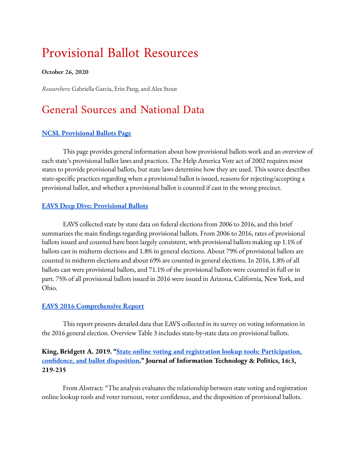# Provisional Ballot Resources

#### **October 26, 2020**

*Researchers:* Gabriella Garcia, Erin Pang, and Alex Stout

# General Sources and National Data

### **NCSL [Provisional](https://www.ncsl.org/research/elections-and-campaigns/provisional-ballots.aspx) Ballots Page**

This page provides general information about how provisional ballots work and an overview of each state's provisional ballot laws and practices. The Help America Vote act of 2002 requires most states to provide provisional ballots, but state laws determine how they are used. This source describes state-specific practices regarding when a provisional ballot is issued, reasons for rejecting/accepting a provisional ballot, and whether a provisional ballot is counted if cast in the wrong precinct.

### **EAVS Deep Dive: [Provisional](https://www.eac.gov/documents/2018/06/07/eavs-deep-dive-provisional-ballots) Ballots**

EAVS collected state by state data on federal elections from 2006 to 2016, and this brief summarizes the main findings regarding provisional ballots. From 2006 to 2016, rates of provisional ballots issued and counted have been largely consistent, with provisional ballots making up 1.1% of ballots cast in midterm elections and 1.8% in general elections. About 79% of provisional ballots are counted in midterm elections and about 69% are counted in general elections. In 2016, 1.8% of all ballots cast were provisional ballots, and 71.1% of the provisional ballots were counted in full or in part. 75% of all provisional ballots issued in 2016 were issued in Arizona, California, New York, and Ohio.

### **EAVS 2016 [Comprehensive](https://www.eac.gov/sites/default/files/eac_assets/1/6/2016_EAVS_Comprehensive_Report.pdf) Report**

This report presents detailed data that EAVS collected in its survey on voting information in the 2016 general election. Overview Table 3 includes state-by-state data on provisional ballots.

# **King, Bridgett A. 2019. "State online voting and registration lookup tools: [Participation,](https://www.tandfonline.com/action/showCitFormats?doi=10.1080%2F19331681.2019.1639581) condence, and ballot [disposition.](https://www.tandfonline.com/action/showCitFormats?doi=10.1080%2F19331681.2019.1639581)" Journal of Information Technology & Politics, 16:3, 219-235**

From Abstract: "The analysis evaluates the relationship between state voting and registration online lookup tools and voter turnout, voter confidence, and the disposition of provisional ballots.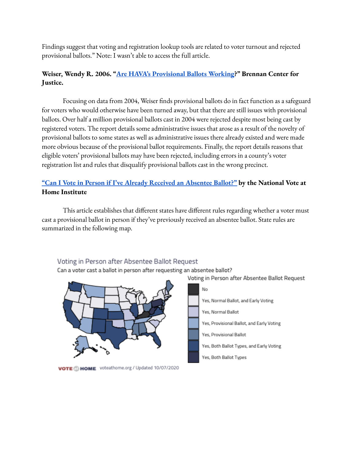Findings suggest that voting and registration lookup tools are related to voter turnout and rejected provisional ballots." Note: I wasn't able to access the full article.

# **Weiser, Wendy R. 2006. "Are HAVA's [Provisional](http://web.mit.edu/supportthevoter/www/files/2013/08/Weiser-Are-HAVAs-Provisional-Ballots-Working.pdf) Ballots Working ?" Brennan Center for Justice.**

Focusing on data from 2004, Weiser finds provisional ballots do in fact function as a safeguard for voters who would otherwise have been turned away, but that there are still issues with provisional ballots. Over half a million provisional ballots cast in 2004 were rejected despite most being cast by registered voters. The report details some administrative issues that arose as a result of the novelty of provisional ballots to some states as well as administrative issues there already existed and were made more obvious because of the provisional ballot requirements. Finally, the report details reasons that eligible voters' provisional ballots may have been rejected, including errors in a county's voter registration list and rules that disqualify provisional ballots cast in the wrong precinct.

# **"Can I Vote in Person if I've Already Received an [Absentee](https://voteathome.medium.com/can-i-vote-in-person-if-ive-already-requested-an-absentee-ballot-948424e214ac) Ballot?" by the National Vote at Home Institute**

This article establishes that different states have different rules regarding whether a voter must cast a provisional ballot in person if they've previously received an absentee ballot. State rules are summarized in the following map.

#### Voting in Person after Absentee Ballot Request

Can a voter cast a ballot in person after requesting an absentee ballot?

Voting in Person after Absentee Ballot Request



VOTE MOME voteathome.org / Updated 10/07/2020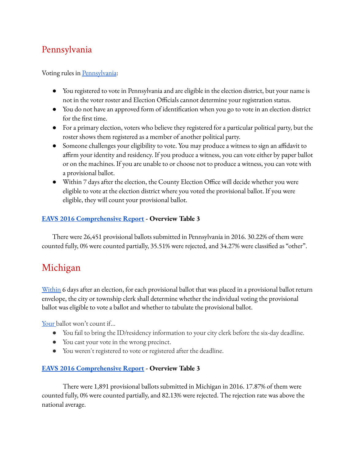# Pennsylvania

### Voting rules in [Pennsylvania](https://www.votespa.com/Voting-in-PA/Pages/Voting-by-Provisional-Ballot.aspx):

- You registered to vote in Pennsylvania and are eligible in the election district, but your name is not in the voter roster and Election Officials cannot determine your registration status.
- You do not have an approved form of identification when you go to vote in an election district for the first time.
- For a primary election, voters who believe they registered for a particular political party, but the roster shows them registered as a member of another political party.
- Someone challenges your eligibility to vote. You may produce a witness to sign an affidavit to affirm your identity and residency. If you produce a witness, you can vote either by paper ballot or on the machines. If you are unable to or choose not to produce a witness, you can vote with a provisional ballot.
- Within 7 days after the election, the County Election Office will decide whether you were eligible to vote at the election district where you voted the provisional ballot. If you were eligible, they will count your provisional ballot.

### **EAVS 2016 [Comprehensive](https://www.eac.gov/sites/default/files/eac_assets/1/6/2016_EAVS_Comprehensive_Report.pdf) Report - Overview Table 3**

There were 26,451 provisional ballots submitted in Pennsylvania in 2016. 30.22% of them were counted fully, 0% were counted partially, 35.51% were rejected, and 34.27% were classified as "other".

# Michigan

[Within](http://www.legislature.mi.gov/documents/mcl/pdf/mcl-168-813.pdf) 6 days after an election, for each provisional ballot that was placed in a provisional ballot return envelope, the city or township clerk shall determine whether the individual voting the provisional ballot was eligible to vote a ballot and whether to tabulate the provisional ballot.

[Your](https://www.freep.com/story/news/local/michigan/2018/11/07/provisional-ballot-election-day/1917787002/) ballot won't count if...

- You fail to bring the ID/residency information to your city clerk before the six-day deadline.
- You cast your vote in the wrong precinct.
- You weren't registered to vote or registered after the deadline.

### **EAVS 2016 [Comprehensive](https://www.eac.gov/sites/default/files/eac_assets/1/6/2016_EAVS_Comprehensive_Report.pdf) Report - Overview Table 3**

There were 1,891 provisional ballots submitted in Michigan in 2016. 17.87% of them were counted fully, 0% were counted partially, and 82.13% were rejected. The rejection rate was above the national average.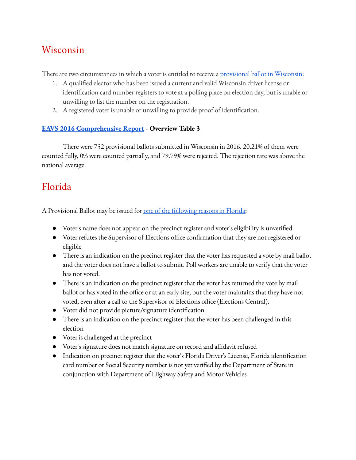# Wisconsin

There are two circumstances in which a voter is entitled to receive a [provisional](https://elections.wi.gov/clerks/provisional-ballots) ballot in Wisconsin:

- 1. A qualified elector who has been issued a current and valid Wisconsin driver license or identification card number registers to vote at a polling place on election day, but is unable or unwilling to list the number on the registration.
- 2. A registered voter is unable or unwilling to provide proof of identification.

### **EAVS 2016 [Comprehensive](https://www.eac.gov/sites/default/files/eac_assets/1/6/2016_EAVS_Comprehensive_Report.pdf) Report - Overview Table 3**

There were 752 provisional ballots submitted in Wisconsin in 2016. 20.21% of them were counted fully, 0% were counted partially, and 79.79% were rejected. The rejection rate was above the national average.

# Florida

A Provisional Ballot may be issued for one of the [following](https://www.miamidade.gov/global/service.page?Mduid_service=ser1518119486295508) reasons in Florida:

- Voter's name does not appear on the precinct register and voter's eligibility is unverified
- Voter refutes the Supervisor of Elections office confirmation that they are not registered or eligible
- There is an indication on the precinct register that the voter has requested a vote by mail ballot and the voter does not have a ballot to submit. Poll workers are unable to verify that the voter has not voted.
- There is an indication on the precinct register that the voter has returned the vote by mail ballot or has voted in the office or at an early site, but the voter maintains that they have not voted, even after a call to the Supervisor of Elections office (Elections Central).
- Voter did not provide picture/signature identification
- There is an indication on the precinct register that the voter has been challenged in this election
- Voter is challenged at the precinct
- Voter's signature does not match signature on record and affidavit refused
- Indication on precinct register that the voter's Florida Driver's License, Florida identification card number or Social Security number is not yet verified by the Department of State in conjunction with Department of Highway Safety and Motor Vehicles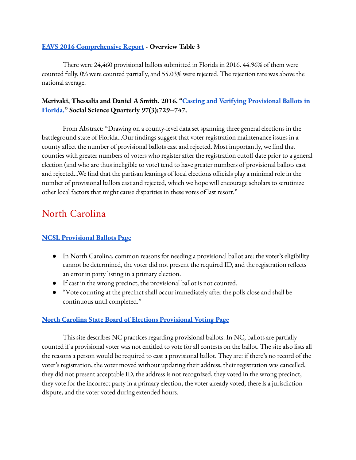#### **EAVS 2016 [Comprehensive](https://www.eac.gov/sites/default/files/eac_assets/1/6/2016_EAVS_Comprehensive_Report.pdf) Report - Overview Table 3**

There were 24,460 provisional ballots submitted in Florida in 2016. 44.96% of them were counted fully, 0% were counted partially, and 55.03% were rejected. The rejection rate was above the national average.

# **Merivaki, Thessalia and Daniel A Smith. 2016. "Casting and [Verifying Provisional](https://onlinelibrary.wiley.com/doi/abs/10.1111/ssqu.12245) Ballots in [Florida.](https://onlinelibrary.wiley.com/doi/abs/10.1111/ssqu.12245)" Social Science Quarterly 97(3):729–747.**

From Abstract: "Drawing on a county-level data set spanning three general elections in the battleground state of Florida...Our findings suggest that voter registration maintenance issues in a county affect the number of provisional ballots cast and rejected. Most importantly, we find that counties with greater numbers of voters who register after the registration cutoff date prior to a general election (and who are thus ineligible to vote) tend to have greater numbers of provisional ballots cast and rejected...We find that the partisan leanings of local elections officials play a minimal role in the number of provisional ballots cast and rejected, which we hope will encourage scholars to scrutinize other local factors that might cause disparities in these votes of last resort."

# North Carolina

# **NCSL [Provisional](https://www.ncsl.org/research/elections-and-campaigns/provisional-ballots.aspx) Ballots Page**

- In North Carolina, common reasons for needing a provisional ballot are: the voter's eligibility cannot be determined, the voter did not present the required ID, and the registration reflects an error in party listing in a primary election.
- If cast in the wrong precinct, the provisional ballot is not counted.
- "Vote counting at the precinct shall occur immediately after the polls close and shall be continuous until completed."

### **North Carolina State Board of Elections Provisional [Voting Page](https://www.ncsbe.gov/voting/provisional-voting)**

This site describes NC practices regarding provisional ballots. In NC, ballots are partially counted if a provisional voter was not entitled to vote for all contests on the ballot. The site also lists all the reasons a person would be required to cast a provisional ballot. They are: if there's no record of the voter's registration, the voter moved without updating their address, their registration was cancelled, they did not present acceptable ID, the address is not recognized, they voted in the wrong precinct, they vote for the incorrect party in a primary election, the voter already voted, there is a jurisdiction dispute, and the voter voted during extended hours.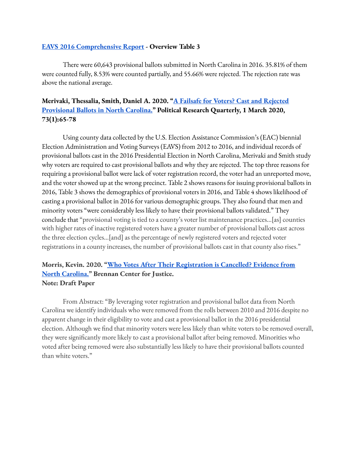#### **EAVS 2016 [Comprehensive](https://www.eac.gov/sites/default/files/eac_assets/1/6/2016_EAVS_Comprehensive_Report.pdf) Report - Overview Table 3**

There were 60,643 provisional ballots submitted in North Carolina in 2016. 35.81% of them were counted fully, 8.53% were counted partially, and 55.66% were rejected. The rejection rate was above the national average.

# **Merivaki, Thessalia, Smith, Daniel A. 2020. "A Failsafe for Voters? Cast and [Rejected](https://journals.sagepub.com/doi/full/10.1177/1065912919875816?casa_token=ZtJJ95K9GPMAAAAA%3A3xhzH7Is7VY2eghl-xUbDStyWmHDidSk46gTnWm24-PI3H9mlDlN72sZUegMiW4dOB9w8KtMdw3OAaI) [Provisional](https://journals.sagepub.com/doi/full/10.1177/1065912919875816?casa_token=ZtJJ95K9GPMAAAAA%3A3xhzH7Is7VY2eghl-xUbDStyWmHDidSk46gTnWm24-PI3H9mlDlN72sZUegMiW4dOB9w8KtMdw3OAaI) Ballots in North Carolina." Political Research Quarterly, 1 March 2020, 73(1):65-78**

Using county data collected by the U.S. Election Assistance Commission's (EAC) biennial Election Administration and Voting Surveys (EAVS) from 2012 to 2016, and individual records of provisional ballots cast in the 2016 Presidential Election in North Carolina, Merivaki and Smith study why voters are required to cast provisional ballots and why they are rejected. The top three reasons for requiring a provisional ballot were lack of voter registration record, the voter had an unreported move, and the voter showed up at the wrong precinct. Table 2 shows reasons for issuing provisional ballots in 2016, Table 3 shows the demographics of provisional voters in 2016, and Table 4 shows likelihood of casting a provisional ballot in 2016 for various demographic groups. They also found that men and minority voters "were considerably less likely to have their provisional ballots validated." They conclude that "provisional voting is tied to a county's voter list maintenance practices…[as] counties with higher rates of inactive registered voters have a greater number of provisional ballots cast across the three election cycles…[and] as the percentage of newly registered voters and rejected voter registrations in a county increases, the number of provisional ballots cast in that county also rises."

### **Morris, Kevin. 2020. "Who Votes After Their [Registration](https://preprints.apsanet.org/engage/apsa/article-details/5f43c7e1b8a1230019967bf6) is Cancelled? Evidence from North [Carolina."](https://preprints.apsanet.org/engage/apsa/article-details/5f43c7e1b8a1230019967bf6) Brennan Center for Justice. Note: Draft Paper**

From Abstract: "By leveraging voter registration and provisional ballot data from North Carolina we identify individuals who were removed from the rolls between 2010 and 2016 despite no apparent change in their eligibility to vote and cast a provisional ballot in the 2016 presidential election. Although we find that minority voters were less likely than white voters to be removed overall, they were significantly more likely to cast a provisional ballot after being removed. Minorities who voted after being removed were also substantially less likely to have their provisional ballots counted than white voters."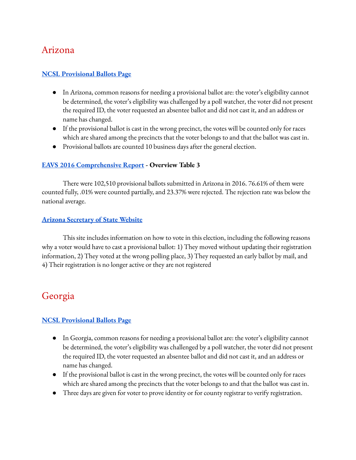# Arizona

#### **NCSL [Provisional](https://www.ncsl.org/research/elections-and-campaigns/provisional-ballots.aspx) Ballots Page**

- In Arizona, common reasons for needing a provisional ballot are: the voter's eligibility cannot be determined, the voter's eligibility was challenged by a poll watcher, the voter did not present the required ID, the voter requested an absentee ballot and did not cast it, and an address or name has changed.
- If the provisional ballot is cast in the wrong precinct, the votes will be counted only for races which are shared among the precincts that the voter belongs to and that the ballot was cast in.
- Provisional ballots are counted 10 business days after the general election.

#### **EAVS 2016 [Comprehensive](https://www.eac.gov/sites/default/files/eac_assets/1/6/2016_EAVS_Comprehensive_Report.pdf) Report - Overview Table 3**

There were 102,510 provisional ballots submitted in Arizona in 2016. 76.61% of them were counted fully, .01% were counted partially, and 23.37% were rejected. The rejection rate was below the national average.

#### **Arizona [Secretary](https://azsos.gov/elections/voting-election) of State Website**

This site includes information on how to vote in this election, including the following reasons why a voter would have to cast a provisional ballot: 1) They moved without updating their registration information, 2) They voted at the wrong polling place, 3) They requested an early ballot by mail, and 4) Their registration is no longer active or they are not registered

# Georgia

### **NCSL [Provisional](https://www.ncsl.org/research/elections-and-campaigns/provisional-ballots.aspx) Ballots Page**

- In Georgia, common reasons for needing a provisional ballot are: the voter's eligibility cannot be determined, the voter's eligibility was challenged by a poll watcher, the voter did not present the required ID, the voter requested an absentee ballot and did not cast it, and an address or name has changed.
- If the provisional ballot is cast in the wrong precinct, the votes will be counted only for races which are shared among the precincts that the voter belongs to and that the ballot was cast in.
- Three days are given for voter to prove identity or for county registrar to verify registration.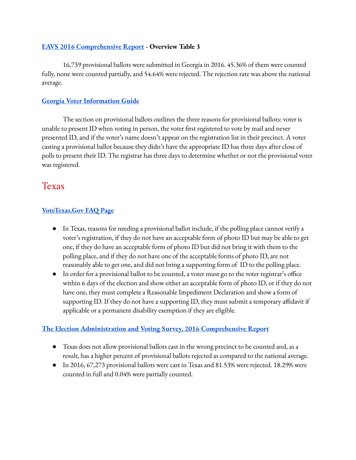### **EAVS 2016 [Comprehensive](https://www.eac.gov/sites/default/files/eac_assets/1/6/2016_EAVS_Comprehensive_Report.pdf) Report - Overview Table 3**

16,739 provisional ballots were submitted in Georgia in 2016. 45.36% of them were counted fully, none were counted partially, and 54.64% were rejected. The rejection rate was above the national average.

### **Georgia Voter [Information](https://sos.ga.gov/admin/files/GAInfoguide.pdf) Guide**

The section on provisional ballots outlines the three reasons for provisional ballots: voter is unable to present ID when voting in person, the voter first registered to vote by mail and never presented ID, and if the voter's name doesn't appear on the registration list in their precinct. A voter casting a provisional ballot because they didn't have the appropriate ID has three days after close of polls to present their ID. The registrar has three days to determine whether or not the provisional voter was registered.

# Texas

# **[VoteTexas.Gov](https://www.votetexas.gov/faq/#:~:text=The%20provisional%20voting%20process%20involves,the%20acceptable%20forms%20of%20photo) FAQ Page**

- In Texas, reasons for needing a provisional ballot include, if the polling place cannot verify a voter's registration, if they do not have an acceptable form of photo ID but may be able to get one, if they do have an acceptable form of photo ID but did not bring it with them to the polling place, and if they do not have one of the acceptable forms of photo ID, are not reasonably able to get one, and did not bring a supporting form of ID to the polling place.
- $\bullet$  In order for a provisional ballot to be counted, a voter must go to the voter registrar's office within 6 days of the election and show either an acceptable form of photo ID, or if they do not have one, they must complete a Reasonable Impediment Declaration and show a form of supporting ID. If they do not have a supporting ID, they must submit a temporary affidavit if applicable or a permanent disability exemption if they are eligible.

### **The Election [Administration](https://www.eac.gov/sites/default/files/eac_assets/1/6/2016_EAVS_Comprehensive_Report.pdf) and Voting Survey, 2016 Comprehensive Report**

- Texas does not allow provisional ballots cast in the wrong precinct to be counted and, as a result, has a higher percent of provisional ballots rejected as compared to the national average.
- In 2016, 67,273 provisional ballots were cast in Texas and 81.53% were rejected. 18.29% were counted in full and 0.04% were partially counted.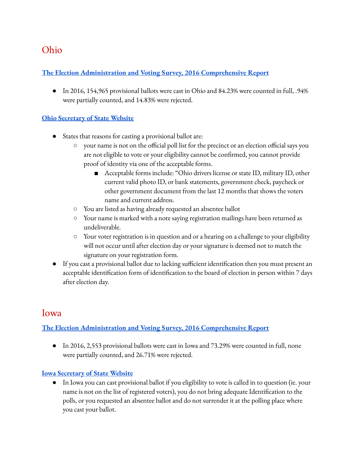# Ohio

### **The Election [Administration](https://www.eac.gov/sites/default/files/eac_assets/1/6/2016_EAVS_Comprehensive_Report.pdf) and Voting Survey, 2016 Comprehensive Report**

• In 2016, 154,965 provisional ballots were cast in Ohio and 84.23% were counted in full, .94% were partially counted, and 14.83% were rejected.

### **Ohio [Secretary](https://www.ohiosos.gov/elections/voters/provisional-voting/#:~:text=A%20provisional%20ballot%20may%20be,his%20or%20her%20voter%20registration.) of State Website**

- States that reasons for casting a provisional ballot are:
	- $\circ$  your name is not on the official poll list for the precinct or an election official says you are not eligible to vote or your eligibility cannot be confirmed, you cannot provide proof of identity via one of the acceptable forms.
		- Acceptable forms include: "Ohio drivers license or state ID, military ID, other current valid photo ID, or bank statements, government check, paycheck or other government document from the last 12 months that shows the voters name and current address.
	- You are listed as having already requested an absentee ballot
	- Your name is marked with a note saying registration mailings have been returned as undeliverable.
	- Your voter registration is in question and or a hearing on a challenge to your eligibility will not occur until after election day or your signature is deemed not to match the signature on your registration form.
- If you cast a provisional ballot due to lacking sufficient identification then you must present an acceptable identification form of identification to the board of election in person within 7 days after election day.

# Iowa

# **The Election [Administration](https://www.eac.gov/sites/default/files/eac_assets/1/6/2016_EAVS_Comprehensive_Report.pdf) and Voting Survey, 2016 Comprehensive Report**

● In 2016, 2,553 provisional ballots were cast in Iowa and 73.29% were counted in full, none were partially counted, and 26.71% were rejected.

### **Iowa [Secretary](https://sos.iowa.gov/elections/voterinformation/edfaq.html) of State Website**

● In Iowa you can cast provisional ballot if you eligibility to vote is called in to question (ie. your name is not on the list of registered voters), you do not bring adequate Identification to the polls, or you requested an absentee ballot and do not surrender it at the polling place where you cast your ballot.